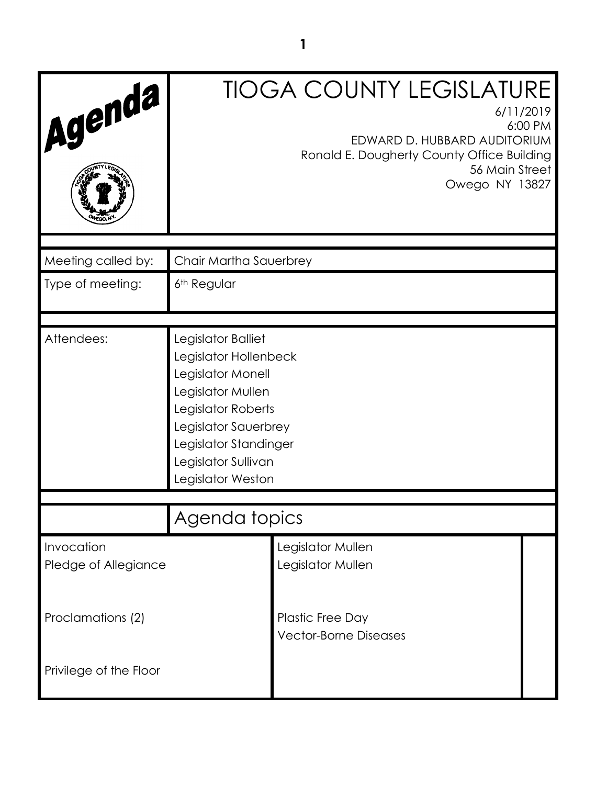| Agenda                             |                                                                                                                                                                                                          | <b>TIOGA COUNTY LEGISLATURE</b><br>6/11/2019<br>6:00 PM<br>EDWARD D. HUBBARD AUDITORIUM<br>Ronald E. Dougherty County Office Building<br>56 Main Street<br>Owego NY 13827 |  |
|------------------------------------|----------------------------------------------------------------------------------------------------------------------------------------------------------------------------------------------------------|---------------------------------------------------------------------------------------------------------------------------------------------------------------------------|--|
| Meeting called by:                 | Chair Martha Sauerbrey                                                                                                                                                                                   |                                                                                                                                                                           |  |
| Type of meeting:                   | 6 <sup>th</sup> Regular                                                                                                                                                                                  |                                                                                                                                                                           |  |
| Attendees:                         | Legislator Balliet<br>Legislator Hollenbeck<br>Legislator Monell<br>Legislator Mullen<br>Legislator Roberts<br>Legislator Sauerbrey<br>Legislator Standinger<br>Legislator Sullivan<br>Legislator Weston |                                                                                                                                                                           |  |
| Agenda topics                      |                                                                                                                                                                                                          |                                                                                                                                                                           |  |
| Invocation<br>Pledge of Allegiance |                                                                                                                                                                                                          | Legislator Mullen<br>Legislator Mullen                                                                                                                                    |  |
| Proclamations (2)                  |                                                                                                                                                                                                          | Plastic Free Day<br><b>Vector-Borne Diseases</b>                                                                                                                          |  |
| Privilege of the Floor             |                                                                                                                                                                                                          |                                                                                                                                                                           |  |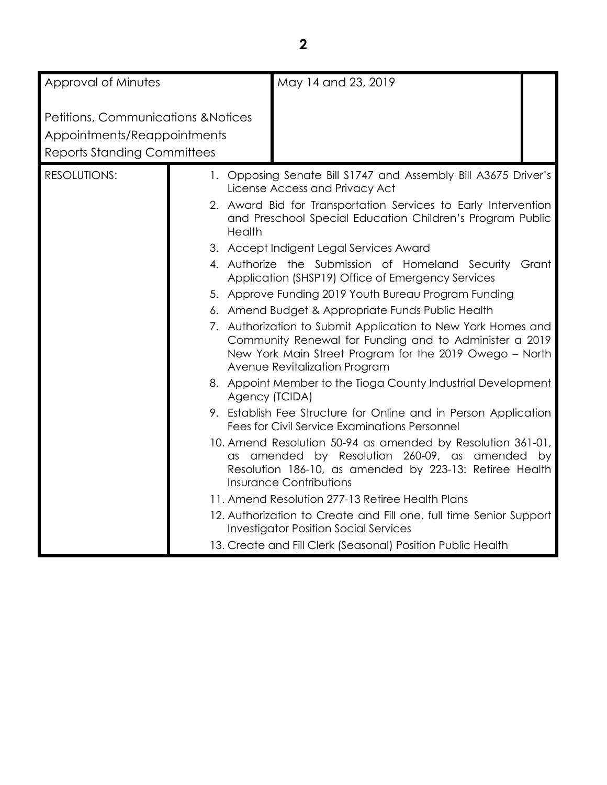| Approval of Minutes                                                                                                 |                          | May 14 and 23, 2019                                                                                                                                                                                                                                                                                                                                                                                                                                                                                                                                                                                                                                                                                                                                                                                                                                                                                                                                                                                                                                                                                                                                                                                                                                                                                             |
|---------------------------------------------------------------------------------------------------------------------|--------------------------|-----------------------------------------------------------------------------------------------------------------------------------------------------------------------------------------------------------------------------------------------------------------------------------------------------------------------------------------------------------------------------------------------------------------------------------------------------------------------------------------------------------------------------------------------------------------------------------------------------------------------------------------------------------------------------------------------------------------------------------------------------------------------------------------------------------------------------------------------------------------------------------------------------------------------------------------------------------------------------------------------------------------------------------------------------------------------------------------------------------------------------------------------------------------------------------------------------------------------------------------------------------------------------------------------------------------|
| <b>Petitions, Communications &amp; Notices</b><br>Appointments/Reappointments<br><b>Reports Standing Committees</b> |                          |                                                                                                                                                                                                                                                                                                                                                                                                                                                                                                                                                                                                                                                                                                                                                                                                                                                                                                                                                                                                                                                                                                                                                                                                                                                                                                                 |
| <b>RESOLUTIONS:</b>                                                                                                 | Health<br>Agency (TCIDA) | 1. Opposing Senate Bill S1747 and Assembly Bill A3675 Driver's<br>License Access and Privacy Act<br>2. Award Bid for Transportation Services to Early Intervention<br>and Preschool Special Education Children's Program Public<br>3. Accept Indigent Legal Services Award<br>4. Authorize the Submission of Homeland Security Grant<br>Application (SHSP19) Office of Emergency Services<br>5. Approve Funding 2019 Youth Bureau Program Funding<br>6. Amend Budget & Appropriate Funds Public Health<br>7. Authorization to Submit Application to New York Homes and<br>Community Renewal for Funding and to Administer a 2019<br>New York Main Street Program for the 2019 Owego - North<br>Avenue Revitalization Program<br>8. Appoint Member to the Tioga County Industrial Development<br>9. Establish Fee Structure for Online and in Person Application<br><b>Fees for Civil Service Examinations Personnel</b><br>10. Amend Resolution 50-94 as amended by Resolution 361-01,<br>as amended by Resolution 260-09, as amended by<br>Resolution 186-10, as amended by 223-13: Retiree Health<br><b>Insurance Contributions</b><br>11. Amend Resolution 277-13 Retiree Health Plans<br>12. Authorization to Create and Fill one, full time Senior Support<br><b>Investigator Position Social Services</b> |
|                                                                                                                     |                          | 13. Create and Fill Clerk (Seasonal) Position Public Health                                                                                                                                                                                                                                                                                                                                                                                                                                                                                                                                                                                                                                                                                                                                                                                                                                                                                                                                                                                                                                                                                                                                                                                                                                                     |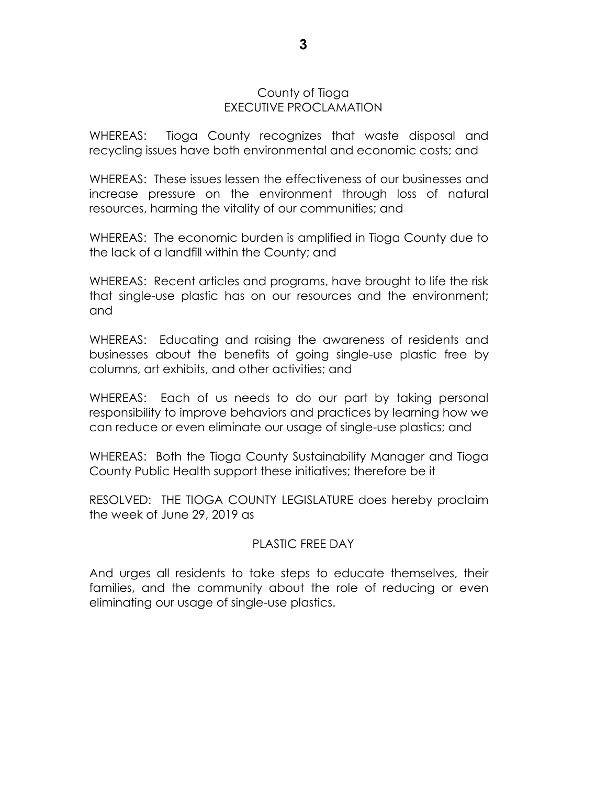### County of Tioga EXECUTIVE PROCLAMATION

WHEREAS: Tioga County recognizes that waste disposal and recycling issues have both environmental and economic costs; and

WHEREAS: These issues lessen the effectiveness of our businesses and increase pressure on the environment through loss of natural resources, harming the vitality of our communities; and

WHEREAS: The economic burden is amplified in Tioga County due to the lack of a landfill within the County; and

WHEREAS: Recent articles and programs, have brought to life the risk that single-use plastic has on our resources and the environment; and

WHEREAS: Educating and raising the awareness of residents and businesses about the benefits of going single-use plastic free by columns, art exhibits, and other activities; and

WHEREAS: Each of us needs to do our part by taking personal responsibility to improve behaviors and practices by learning how we can reduce or even eliminate our usage of single-use plastics; and

WHEREAS: Both the Tioga County Sustainability Manager and Tioga County Public Health support these initiatives; therefore be it

RESOLVED: THE TIOGA COUNTY LEGISLATURE does hereby proclaim the week of June 29, 2019 as

### PLASTIC FREE DAY

And urges all residents to take steps to educate themselves, their families, and the community about the role of reducing or even eliminating our usage of single-use plastics.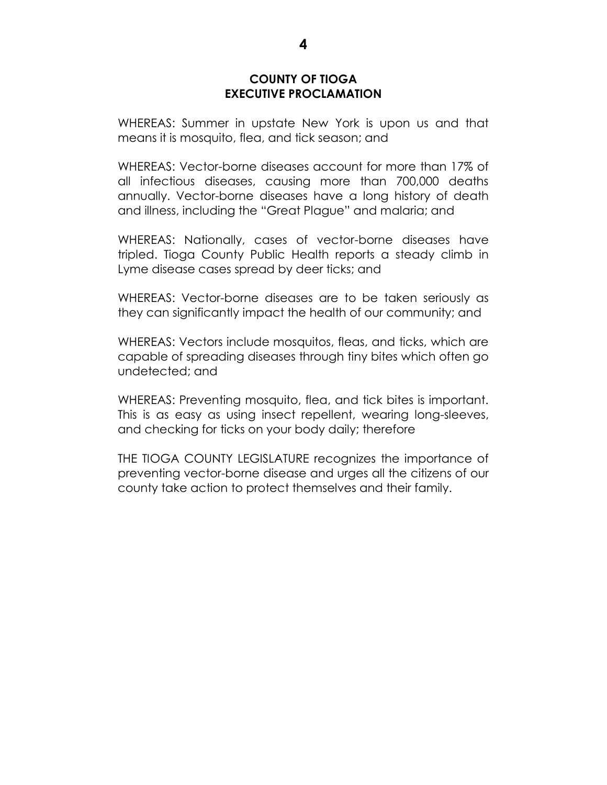### **COUNTY OF TIOGA EXECUTIVE PROCLAMATION**

WHEREAS: Summer in upstate New York is upon us and that means it is mosquito, flea, and tick season; and

WHEREAS: Vector-borne diseases account for more than 17% of all infectious diseases, causing more than 700,000 deaths annually. Vector-borne diseases have a long history of death and illness, including the "Great Plague" and malaria; and

WHEREAS: Nationally, cases of vector-borne diseases have tripled. Tioga County Public Health reports a steady climb in Lyme disease cases spread by deer ticks; and

WHEREAS: Vector-borne diseases are to be taken seriously as they can significantly impact the health of our community; and

WHEREAS: Vectors include mosquitos, fleas, and ticks, which are capable of spreading diseases through tiny bites which often go undetected; and

WHEREAS: Preventing mosquito, flea, and tick bites is important. This is as easy as using insect repellent, wearing long-sleeves, and checking for ticks on your body daily; therefore

THE TIOGA COUNTY LEGISLATURE recognizes the importance of preventing vector-borne disease and urges all the citizens of our county take action to protect themselves and their family.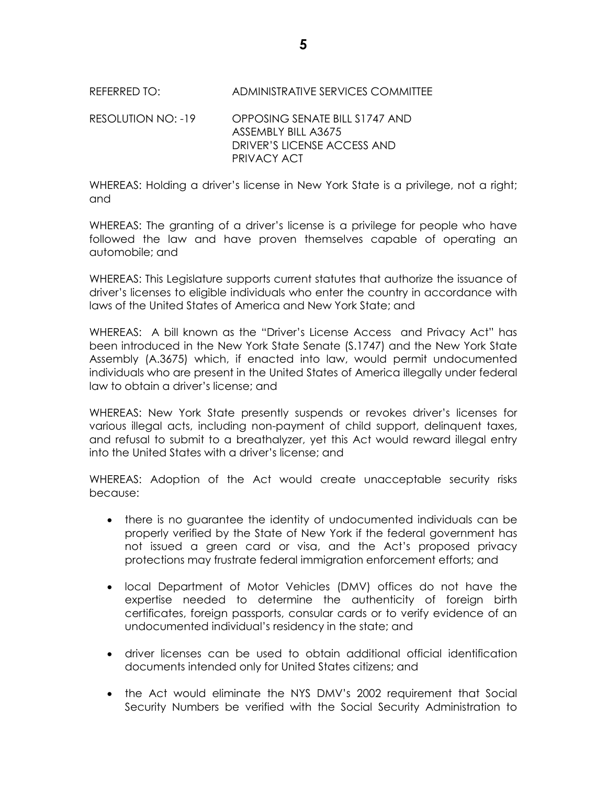# REFERRED TO: ADMINISTRATIVE SERVICES COMMITTEE

RESOLUTION NO: -19 OPPOSING SENATE BILL S1747 AND ASSEMBLY BILL A3675 DRIVER'S LICENSE ACCESS AND PRIVACY ACT

WHEREAS: Holding a driver's license in New York State is a privilege, not a right; and

WHEREAS: The granting of a driver's license is a privilege for people who have followed the law and have proven themselves capable of operating an automobile; and

WHEREAS: This Legislature supports current statutes that authorize the issuance of driver's licenses to eligible individuals who enter the country in accordance with laws of the United States of America and New York State; and

WHEREAS: A bill known as the "Driver's License Access and Privacy Act" has been introduced in the New York State Senate (S.1747) and the New York State Assembly (A.3675) which, if enacted into law, would permit undocumented individuals who are present in the United States of America illegally under federal law to obtain a driver's license; and

WHEREAS: New York State presently suspends or revokes driver's licenses for various illegal acts, including non-payment of child support, delinquent taxes, and refusal to submit to a breathalyzer, yet this Act would reward illegal entry into the United States with a driver's license; and

WHEREAS: Adoption of the Act would create unacceptable security risks because:

- there is no guarantee the identity of undocumented individuals can be properly verified by the State of New York if the federal government has not issued a green card or visa, and the Act's proposed privacy protections may frustrate federal immigration enforcement efforts; and
- local Department of Motor Vehicles (DMV) offices do not have the expertise needed to determine the authenticity of foreign birth certificates, foreign passports, consular cards or to verify evidence of an undocumented individual's residency in the state; and
- driver licenses can be used to obtain additional official identification documents intended only for United States citizens; and
- the Act would eliminate the NYS DMV's 2002 requirement that Social Security Numbers be verified with the Social Security Administration to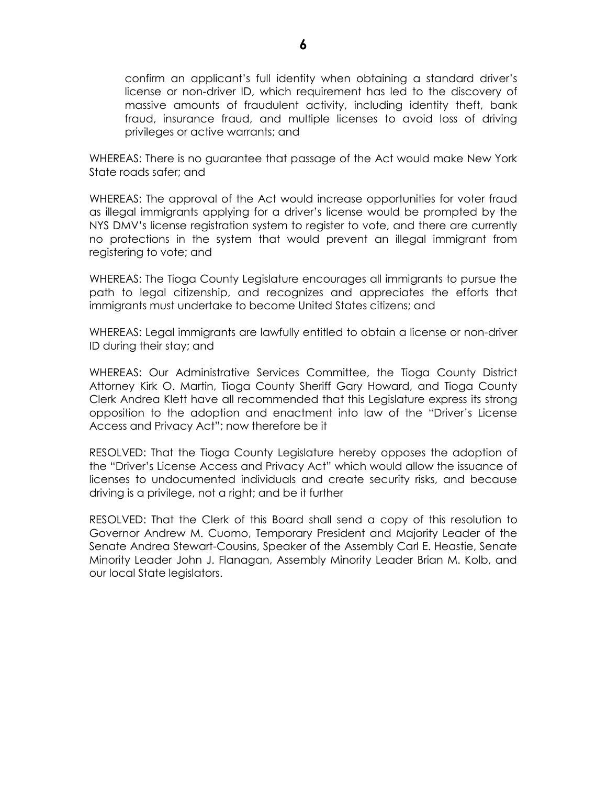confirm an applicant's full identity when obtaining a standard driver's license or non-driver ID, which requirement has led to the discovery of massive amounts of fraudulent activity, including identity theft, bank fraud, insurance fraud, and multiple licenses to avoid loss of driving privileges or active warrants; and

WHEREAS: There is no guarantee that passage of the Act would make New York State roads safer; and

WHEREAS: The approval of the Act would increase opportunities for voter fraud as illegal immigrants applying for a driver's license would be prompted by the NYS DMV's license registration system to register to vote, and there are currently no protections in the system that would prevent an illegal immigrant from registering to vote; and

WHEREAS: The Tioga County Legislature encourages all immigrants to pursue the path to legal citizenship, and recognizes and appreciates the efforts that immigrants must undertake to become United States citizens; and

WHEREAS: Legal immigrants are lawfully entitled to obtain a license or non-driver ID during their stay; and

WHEREAS: Our Administrative Services Committee, the Tioga County District Attorney Kirk O. Martin, Tioga County Sheriff Gary Howard, and Tioga County Clerk Andrea Klett have all recommended that this Legislature express its strong opposition to the adoption and enactment into law of the "Driver's License Access and Privacy Act"; now therefore be it

RESOLVED: That the Tioga County Legislature hereby opposes the adoption of the "Driver's License Access and Privacy Act" which would allow the issuance of licenses to undocumented individuals and create security risks, and because driving is a privilege, not a right; and be it further

RESOLVED: That the Clerk of this Board shall send a copy of this resolution to Governor Andrew M. Cuomo, Temporary President and Majority Leader of the Senate Andrea Stewart-Cousins, Speaker of the Assembly Carl E. Heastie, Senate Minority Leader John J. Flanagan, Assembly Minority Leader Brian M. Kolb, and our local State legislators.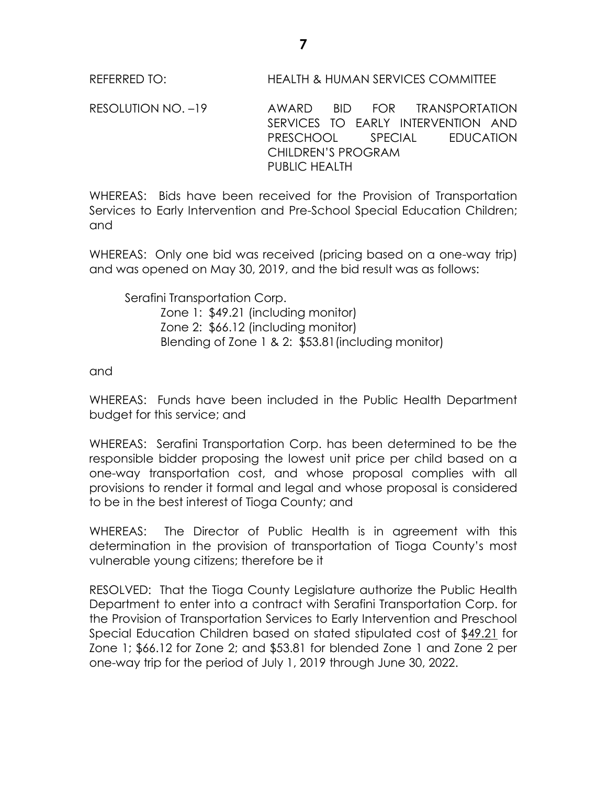REFERRED TO: HEALTH & HUMAN SERVICES COMMITTEE

RESOLUTION NO. –19 AWARD BID FOR TRANSPORTATION SERVICES TO EARLY INTERVENTION AND PRESCHOOL SPECIAL EDUCATION CHILDREN'S PROGRAM PUBLIC HEALTH

WHEREAS: Bids have been received for the Provision of Transportation Services to Early Intervention and Pre-School Special Education Children; and

WHEREAS: Only one bid was received (pricing based on a one-way trip) and was opened on May 30, 2019, and the bid result was as follows:

Serafini Transportation Corp. Zone 1: \$49.21 (including monitor) Zone 2: \$66.12 (including monitor) Blending of Zone 1 & 2: \$53.81(including monitor)

and

WHEREAS: Funds have been included in the Public Health Department budget for this service; and

WHEREAS: Serafini Transportation Corp. has been determined to be the responsible bidder proposing the lowest unit price per child based on a one-way transportation cost, and whose proposal complies with all provisions to render it formal and legal and whose proposal is considered to be in the best interest of Tioga County; and

WHEREAS: The Director of Public Health is in agreement with this determination in the provision of transportation of Tioga County's most vulnerable young citizens; therefore be it

RESOLVED: That the Tioga County Legislature authorize the Public Health Department to enter into a contract with Serafini Transportation Corp. for the Provision of Transportation Services to Early Intervention and Preschool Special Education Children based on stated stipulated cost of \$49.21 for Zone 1; \$66.12 for Zone 2; and \$53.81 for blended Zone 1 and Zone 2 per one-way trip for the period of July 1, 2019 through June 30, 2022.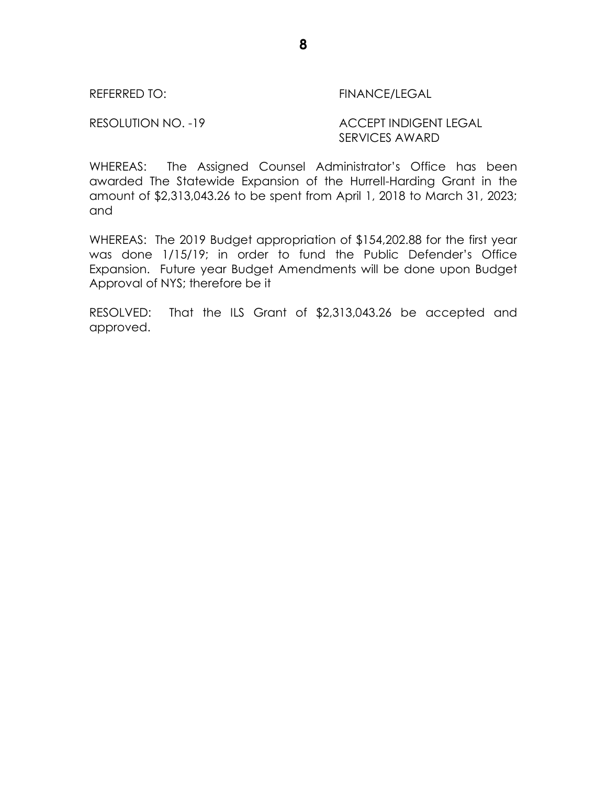REFERRED TO: FINANCE/LEGAL

RESOLUTION NO. -19 ACCEPT INDIGENT LEGAL SERVICES AWARD

WHEREAS: The Assigned Counsel Administrator's Office has been awarded The Statewide Expansion of the Hurrell-Harding Grant in the amount of \$2,313,043.26 to be spent from April 1, 2018 to March 31, 2023; and

WHEREAS: The 2019 Budget appropriation of \$154,202.88 for the first year was done 1/15/19; in order to fund the Public Defender's Office Expansion. Future year Budget Amendments will be done upon Budget Approval of NYS; therefore be it

RESOLVED: That the ILS Grant of \$2,313,043.26 be accepted and approved.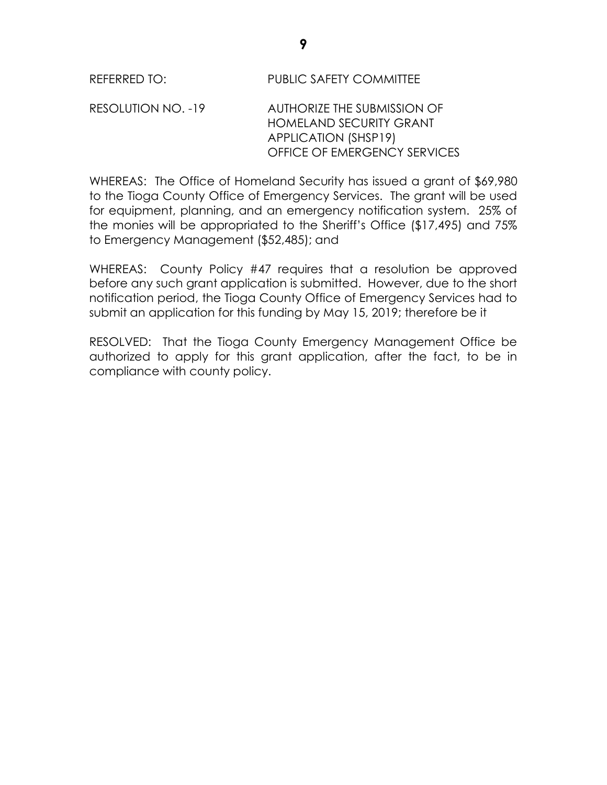RESOLUTION NO. -19 AUTHORIZE THE SUBMISSION OF HOMELAND SECURITY GRANT APPLICATION (SHSP19) OFFICE OF EMERGENCY SERVICES

WHEREAS: The Office of Homeland Security has issued a grant of \$69,980 to the Tioga County Office of Emergency Services. The grant will be used for equipment, planning, and an emergency notification system. 25% of the monies will be appropriated to the Sheriff's Office (\$17,495) and 75% to Emergency Management (\$52,485); and

WHEREAS: County Policy #47 requires that a resolution be approved before any such grant application is submitted. However, due to the short notification period, the Tioga County Office of Emergency Services had to submit an application for this funding by May 15, 2019; therefore be it

RESOLVED: That the Tioga County Emergency Management Office be authorized to apply for this grant application, after the fact, to be in compliance with county policy.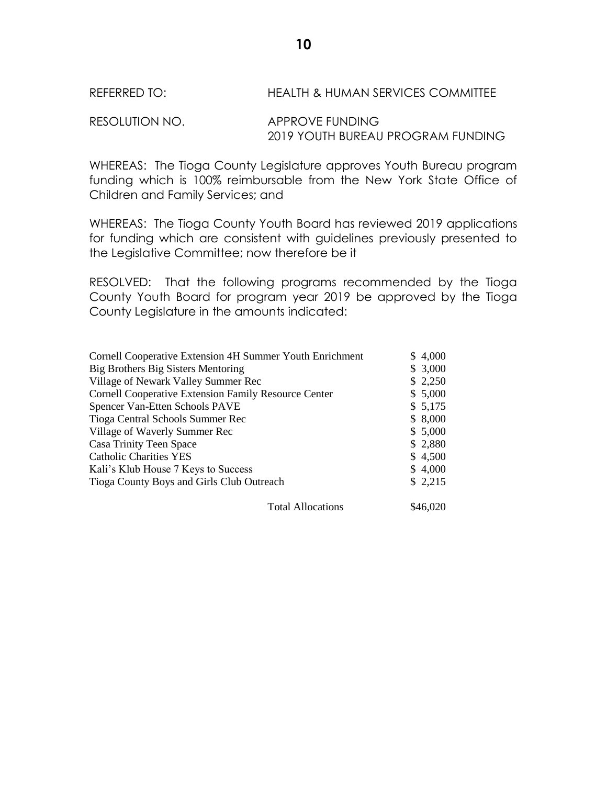### REFERRED TO: HEALTH & HUMAN SERVICES COMMITTEE

RESOLUTION NO. APPROVE FUNDING 2019 YOUTH BUREAU PROGRAM FUNDING

WHEREAS: The Tioga County Legislature approves Youth Bureau program funding which is 100% reimbursable from the New York State Office of Children and Family Services; and

WHEREAS: The Tioga County Youth Board has reviewed 2019 applications for funding which are consistent with guidelines previously presented to the Legislative Committee; now therefore be it

RESOLVED: That the following programs recommended by the Tioga County Youth Board for program year 2019 be approved by the Tioga County Legislature in the amounts indicated:

| <b>Cornell Cooperative Extension 4H Summer Youth Enrichment</b> |                          |  | \$4,000  |
|-----------------------------------------------------------------|--------------------------|--|----------|
| Big Brothers Big Sisters Mentoring                              |                          |  | \$3,000  |
| Village of Newark Valley Summer Rec                             |                          |  | \$2,250  |
| <b>Cornell Cooperative Extension Family Resource Center</b>     |                          |  | \$5,000  |
| Spencer Van-Etten Schools PAVE                                  |                          |  | \$5,175  |
| Tioga Central Schools Summer Rec                                |                          |  | \$8,000  |
| Village of Waverly Summer Rec                                   |                          |  | \$5,000  |
| Casa Trinity Teen Space                                         |                          |  | \$2,880  |
| <b>Catholic Charities YES</b>                                   |                          |  | \$4,500  |
| Kali's Klub House 7 Keys to Success                             |                          |  | \$4,000  |
| Tioga County Boys and Girls Club Outreach                       |                          |  | \$2,215  |
|                                                                 | <b>Total Allocations</b> |  | \$46,020 |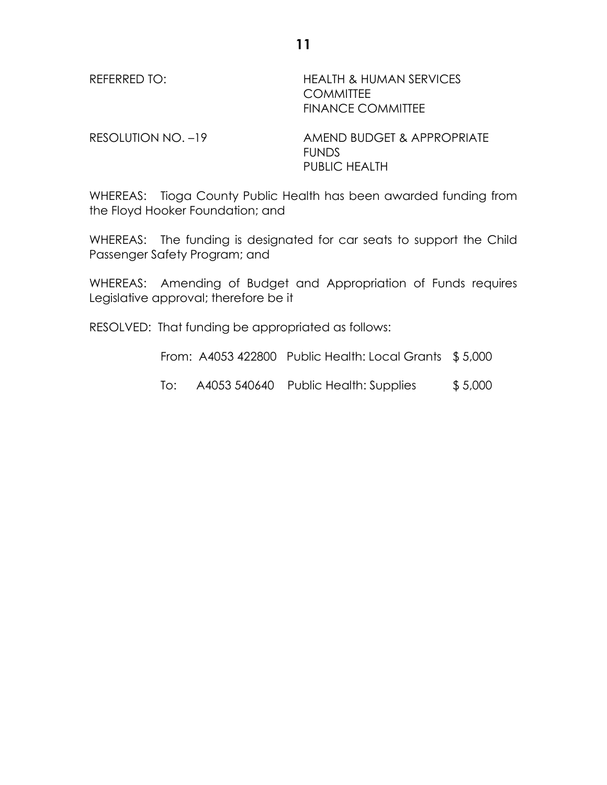REFERRED TO: HEALTH & HUMAN SERVICES **COMMITTEE** FINANCE COMMITTEE

RESOLUTION NO. -19 AMEND BUDGET & APPROPRIATE FUNDS PUBLIC HEALTH

WHEREAS: Tioga County Public Health has been awarded funding from the Floyd Hooker Foundation; and

WHEREAS: The funding is designated for car seats to support the Child Passenger Safety Program; and

WHEREAS: Amending of Budget and Appropriation of Funds requires Legislative approval; therefore be it

RESOLVED: That funding be appropriated as follows:

From: A4053 422800 Public Health: Local Grants \$ 5,000

To: A4053 540640 Public Health: Supplies \$ 5,000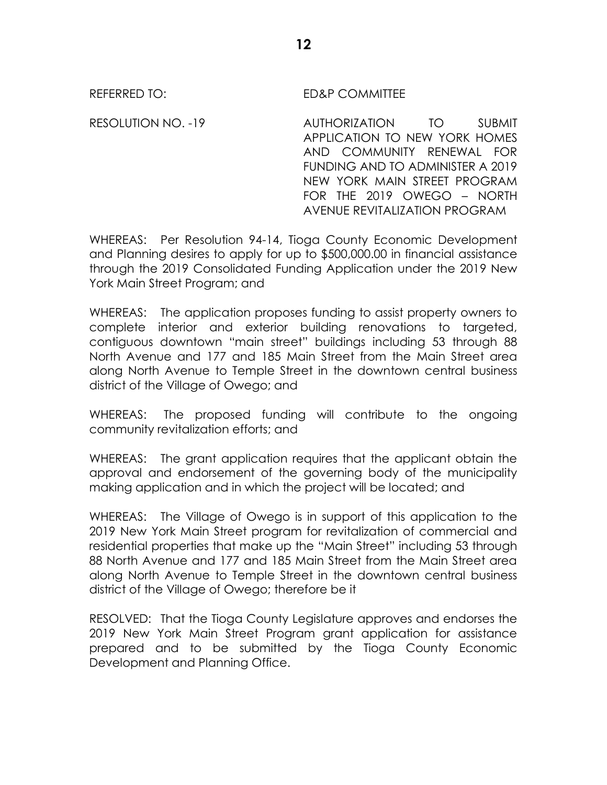REFERRED TO: ED&P COMMITTEE

RESOLUTION NO. -19 AUTHORIZATION TO SUBMIT APPLICATION TO NEW YORK HOMES AND COMMUNITY RENEWAL FOR FUNDING AND TO ADMINISTER A 2019 NEW YORK MAIN STREET PROGRAM FOR THE 2019 OWEGO – NORTH AVENUE REVITALIZATION PROGRAM

WHEREAS: Per Resolution 94-14, Tioga County Economic Development and Planning desires to apply for up to \$500,000.00 in financial assistance through the 2019 Consolidated Funding Application under the 2019 New York Main Street Program; and

WHEREAS: The application proposes funding to assist property owners to complete interior and exterior building renovations to targeted, contiguous downtown "main street" buildings including 53 through 88 North Avenue and 177 and 185 Main Street from the Main Street area along North Avenue to Temple Street in the downtown central business district of the Village of Owego; and

WHEREAS: The proposed funding will contribute to the ongoing community revitalization efforts; and

WHEREAS: The grant application requires that the applicant obtain the approval and endorsement of the governing body of the municipality making application and in which the project will be located; and

WHEREAS: The Village of Owego is in support of this application to the 2019 New York Main Street program for revitalization of commercial and residential properties that make up the "Main Street" including 53 through 88 North Avenue and 177 and 185 Main Street from the Main Street area along North Avenue to Temple Street in the downtown central business district of the Village of Owego; therefore be it

RESOLVED: That the Tioga County Legislature approves and endorses the 2019 New York Main Street Program grant application for assistance prepared and to be submitted by the Tioga County Economic Development and Planning Office.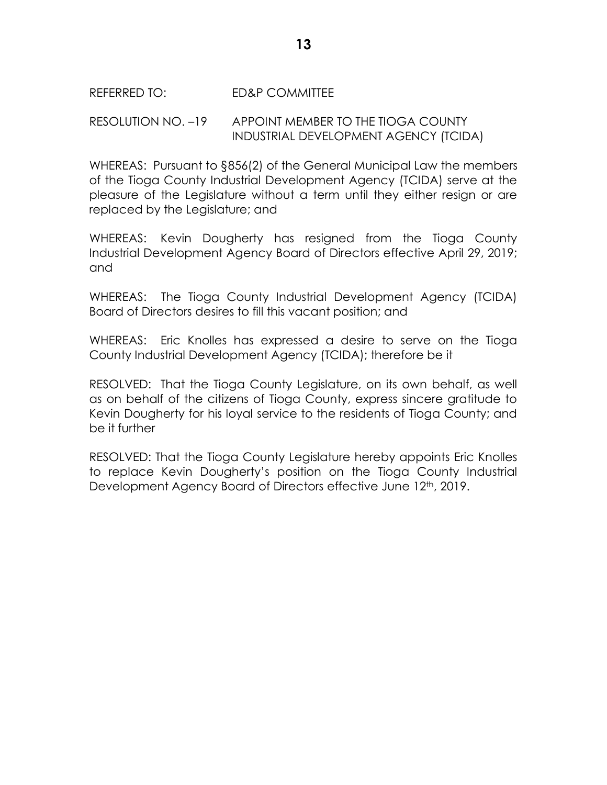### REFERRED TO: ED&P COMMITTEE

RESOLUTION NO. –19 APPOINT MEMBER TO THE TIOGA COUNTY INDUSTRIAL DEVELOPMENT AGENCY (TCIDA)

WHEREAS: Pursuant to §856(2) of the General Municipal Law the members of the Tioga County Industrial Development Agency (TCIDA) serve at the pleasure of the Legislature without a term until they either resign or are replaced by the Legislature; and

WHEREAS: Kevin Dougherty has resigned from the Tioga County Industrial Development Agency Board of Directors effective April 29, 2019; and

WHEREAS: The Tioga County Industrial Development Agency (TCIDA) Board of Directors desires to fill this vacant position; and

WHEREAS: Eric Knolles has expressed a desire to serve on the Tioga County Industrial Development Agency (TCIDA); therefore be it

RESOLVED: That the Tioga County Legislature, on its own behalf, as well as on behalf of the citizens of Tioga County, express sincere gratitude to Kevin Dougherty for his loyal service to the residents of Tioga County; and be it further

RESOLVED: That the Tioga County Legislature hereby appoints Eric Knolles to replace Kevin Dougherty's position on the Tioga County Industrial Development Agency Board of Directors effective June 12<sup>th</sup>, 2019.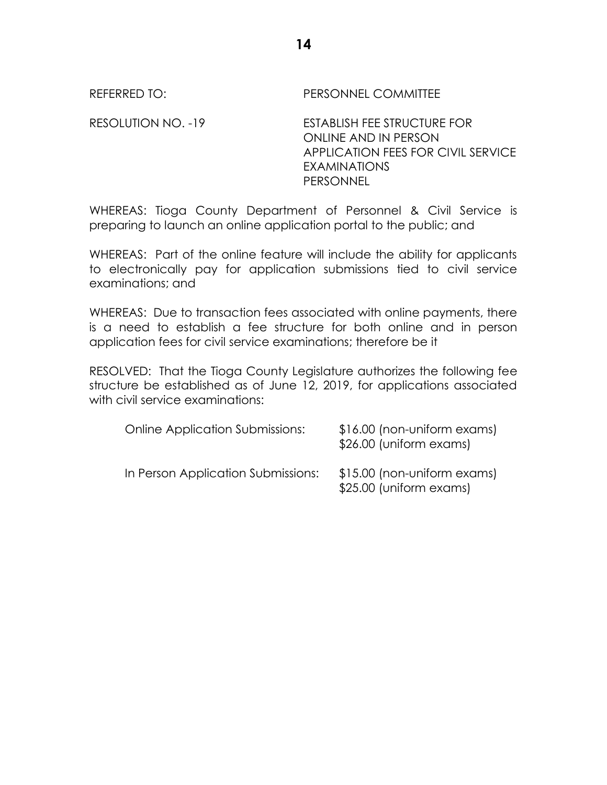REFERRED TO: PERSONNEL COMMITTEE

RESOLUTION NO. -19 ESTABLISH FEE STRUCTURE FOR ONLINE AND IN PERSON APPLICATION FEES FOR CIVIL SERVICE EXAMINATIONS PERSONNEL

WHEREAS: Tioga County Department of Personnel & Civil Service is preparing to launch an online application portal to the public; and

WHEREAS: Part of the online feature will include the ability for applicants to electronically pay for application submissions tied to civil service examinations; and

WHEREAS: Due to transaction fees associated with online payments, there is a need to establish a fee structure for both online and in person application fees for civil service examinations; therefore be it

RESOLVED: That the Tioga County Legislature authorizes the following fee structure be established as of June 12, 2019, for applications associated with civil service examinations:

| <b>Online Application Submissions:</b> | \$16.00 (non-uniform exams)<br>\$26.00 (uniform exams) |
|----------------------------------------|--------------------------------------------------------|
| In Person Application Submissions:     | \$15.00 (non-uniform exams)<br>\$25.00 (uniform exams) |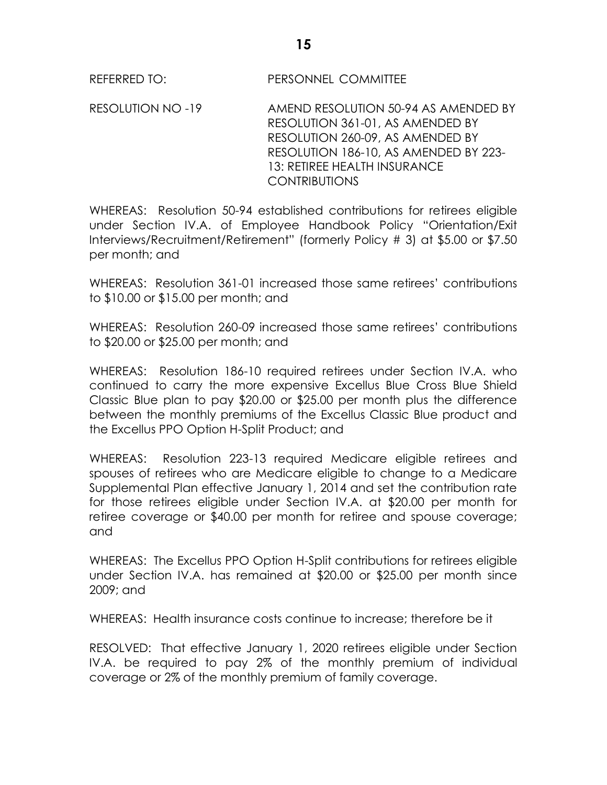RESOLUTION NO -19 AMEND RESOLUTION 50-94 AS AMENDED BY RESOLUTION 361-01, AS AMENDED BY RESOLUTION 260-09, AS AMENDED BY RESOLUTION 186-10, AS AMENDED BY 223- 13: RETIREE HEALTH INSURANCE CONTRIBUTIONS

WHEREAS: Resolution 50-94 established contributions for retirees eligible under Section IV.A. of Employee Handbook Policy "Orientation/Exit Interviews/Recruitment/Retirement" (formerly Policy # 3) at \$5.00 or \$7.50 per month; and

WHEREAS: Resolution 361-01 increased those same retirees' contributions to \$10.00 or \$15.00 per month; and

WHEREAS: Resolution 260-09 increased those same retirees' contributions to \$20.00 or \$25.00 per month; and

WHEREAS: Resolution 186-10 required retirees under Section IV.A. who continued to carry the more expensive Excellus Blue Cross Blue Shield Classic Blue plan to pay \$20.00 or \$25.00 per month plus the difference between the monthly premiums of the Excellus Classic Blue product and the Excellus PPO Option H-Split Product; and

WHEREAS: Resolution 223-13 required Medicare eligible retirees and spouses of retirees who are Medicare eligible to change to a Medicare Supplemental Plan effective January 1, 2014 and set the contribution rate for those retirees eligible under Section IV.A. at \$20.00 per month for retiree coverage or \$40.00 per month for retiree and spouse coverage; and

WHEREAS: The Excellus PPO Option H-Split contributions for retirees eligible under Section IV.A. has remained at \$20.00 or \$25.00 per month since 2009; and

WHEREAS: Health insurance costs continue to increase; therefore be it

RESOLVED: That effective January 1, 2020 retirees eligible under Section IV.A. be required to pay 2% of the monthly premium of individual coverage or 2% of the monthly premium of family coverage.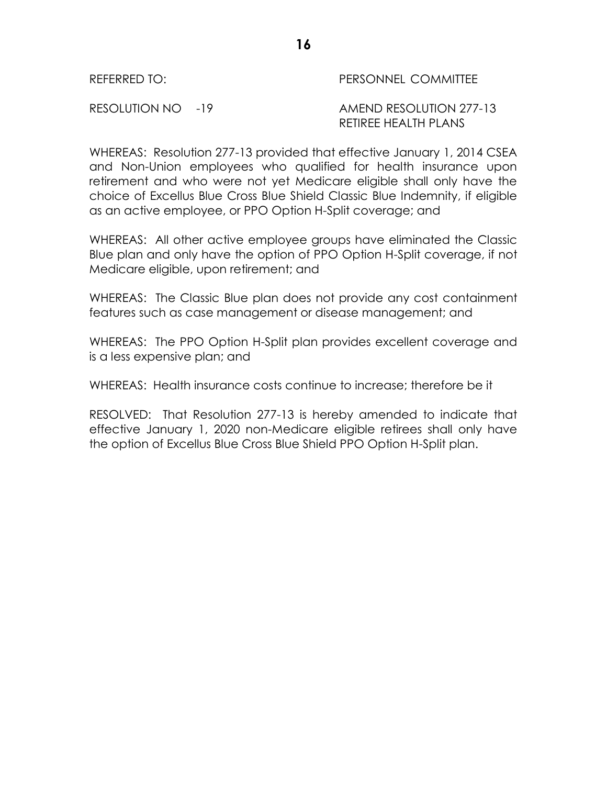### REFERRED TO: PERSONNEL COMMITTEE

RESOLUTION NO -19 AMEND RESOLUTION 277-13 RETIREE HEALTH PLANS

WHEREAS: Resolution 277-13 provided that effective January 1, 2014 CSEA and Non-Union employees who qualified for health insurance upon retirement and who were not yet Medicare eligible shall only have the choice of Excellus Blue Cross Blue Shield Classic Blue Indemnity, if eligible as an active employee, or PPO Option H-Split coverage; and

WHEREAS: All other active employee groups have eliminated the Classic Blue plan and only have the option of PPO Option H-Split coverage, if not Medicare eligible, upon retirement; and

WHEREAS: The Classic Blue plan does not provide any cost containment features such as case management or disease management; and

WHEREAS: The PPO Option H-Split plan provides excellent coverage and is a less expensive plan; and

WHEREAS: Health insurance costs continue to increase: therefore be it

RESOLVED: That Resolution 277-13 is hereby amended to indicate that effective January 1, 2020 non-Medicare eligible retirees shall only have the option of Excellus Blue Cross Blue Shield PPO Option H-Split plan.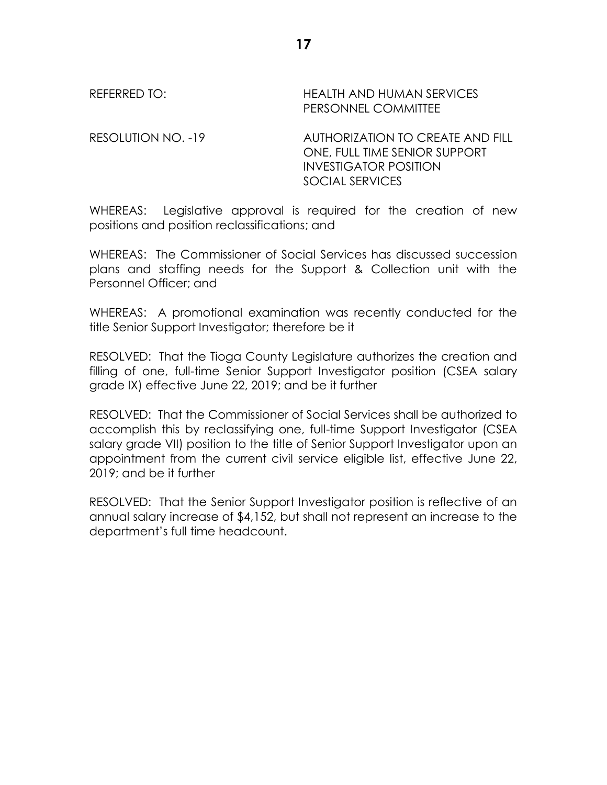REFERRED TO: THEALTH AND HUMAN SERVICES PERSONNEL COMMITTEE

RESOLUTION NO. -19 AUTHORIZATION TO CREATE AND FILL ONE, FULL TIME SENIOR SUPPORT INVESTIGATOR POSITION SOCIAL SERVICES

WHEREAS: Legislative approval is required for the creation of new positions and position reclassifications; and

WHEREAS: The Commissioner of Social Services has discussed succession plans and staffing needs for the Support & Collection unit with the Personnel Officer; and

WHEREAS: A promotional examination was recently conducted for the title Senior Support Investigator; therefore be it

RESOLVED: That the Tioga County Legislature authorizes the creation and filling of one, full-time Senior Support Investigator position (CSEA salary grade IX) effective June 22, 2019; and be it further

RESOLVED: That the Commissioner of Social Services shall be authorized to accomplish this by reclassifying one, full-time Support Investigator (CSEA salary grade VII) position to the title of Senior Support Investigator upon an appointment from the current civil service eligible list, effective June 22, 2019; and be it further

RESOLVED: That the Senior Support Investigator position is reflective of an annual salary increase of \$4,152, but shall not represent an increase to the department's full time headcount.